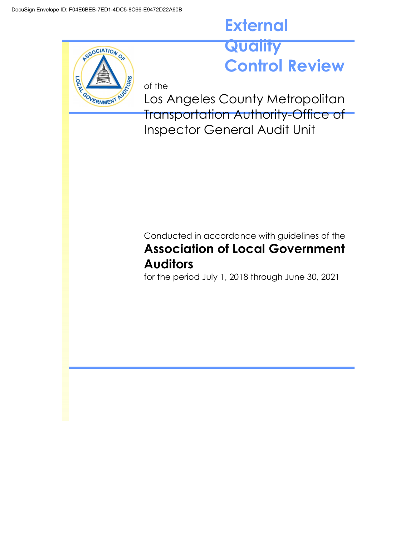SSOCIATION O

-007

## **External** Quality **Control Review**

of the GOVERNMENT

Los Angeles County Metropolitan Transportation Authority-Office of Inspector General Audit Unit

## Conducted in accordance with guidelines of the **Association of Local Government Auditors**

for the period July 1, 2018 through June 30, 2021